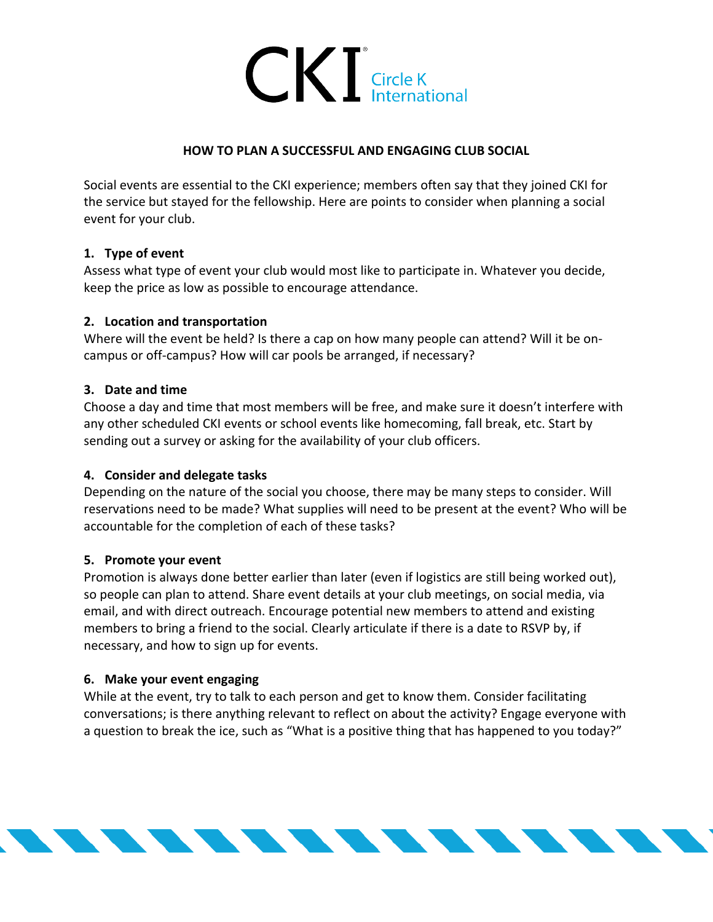

## **HOW TO PLAN A SUCCESSFUL AND ENGAGING CLUB SOCIAL**

Social events are essential to the CKI experience; members often say that they joined CKI for the service but stayed for the fellowship. Here are points to consider when planning a social event for your club.

# **1. Type of event**

Assess what type of event your club would most like to participate in. Whatever you decide, keep the price as low as possible to encourage attendance.

### **2. Location and transportation**

Where will the event be held? Is there a cap on how many people can attend? Will it be oncampus or off-campus? How will car pools be arranged, if necessary?

### **3. Date and time**

Choose a day and time that most members will be free, and make sure it doesn't interfere with any other scheduled CKI events or school events like homecoming, fall break, etc. Start by sending out a survey or asking for the availability of your club officers.

### **4. Consider and delegate tasks**

Depending on the nature of the social you choose, there may be many steps to consider. Will reservations need to be made? What supplies will need to be present at the event? Who will be accountable for the completion of each of these tasks?

### **5. Promote your event**

Promotion is always done better earlier than later (even if logistics are still being worked out), so people can plan to attend. Share event details at your club meetings, on social media, via email, and with direct outreach. Encourage potential new members to attend and existing members to bring a friend to the social. Clearly articulate if there is a date to RSVP by, if necessary, and how to sign up for events.

### **6. Make your event engaging**

While at the event, try to talk to each person and get to know them. Consider facilitating conversations; is there anything relevant to reflect on about the activity? Engage everyone with a question to break the ice, such as "What is a positive thing that has happened to you today?"